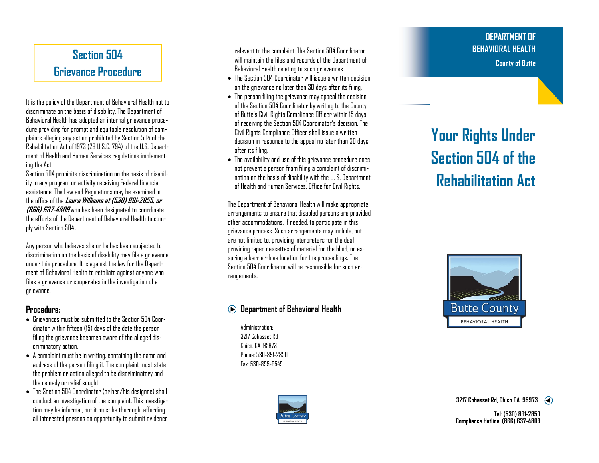# **Section 504 Grievance Procedure**

It is the policy of the Department of Behavioral Health not to discriminate on the basis of disability. The Department of Behavioral Health has adopted an internal grievance procedure providing for prompt and equitable resolution of complaints alleging any action prohibited by Section 504 of the Rehabilitation Act of 1973 (29 U.S.C. 794) of the U.S. Department of Health and Human Services regulations implementing the Act.

Section 504 prohibits discrimination on the basis of disability in any program or activity receiving Federal financial assistance. The Law and Regulations may be examined in the office of the **Laura Williams at (530) 891-2855, or (866) 637-4809** who has been designated to coordinate the efforts of the Department of Behavioral Health to comply with Section 504**.** 

Any person who believes she or he has been subjected to discrimination on the basis of disability may file a grievance under this procedure. It is against the law for the Department of Behavioral Health to retaliate against anyone who files a grievance or cooperates in the investigation of a grievance.

#### **Procedure:**

- $\bullet~$  Grievances must be submitted to the Section 504 Coordinator within fifteen (15) days of the date the person filing the grievance becomes aware of the alleged discriminatory action.
- $\bullet~$  A complaint must be in writing, containing the name and address of the person filing it. The complaint must state the problem or action alleged to be discriminatory and the remedy or relief sought.
- The Section 504 Coordinator (or her/his designee) shall conduct an investigation of the complaint. This investigation may be informal, but it must be thorough, affording all interested persons an opportunity to submit evidence

relevant to the complaint. The Section 504 Coordinator will maintain the files and records of the Department of Behavioral Health relating to such grievances.

- $\bullet~$  The Section 504 Coordinator will issue a written decision . on the grievance no later than 30 days after its filing.
- $\bullet~$  The person filing the grievance may appeal the decision  $~$ of the Section 504 Coordinator by writing to the County of Butte's Civil Rights Compliance Officer within 15 days of receiving the Section 504 Coordinator's decision. The Civil Rights Compliance Officer shall issue a written decision in response to the appeal no later than 30 days after its filing.
- The availability and use of this grievance procedure does not prevent a person from filing a complaint of discrimination on the basis of disability with the U. S. Department of Health and Human Services, Office for Civil Rights.

The Department of Behavioral Health will make appropriate arrangements to ensure that disabled persons are provided other accommodations, if needed, to participate in this grievance process. Such arrangements may include, but are not limited to, providing interpreters for the deaf, providing taped cassettes of material for the blind, or assuring a barrier-free location for the proceedings. The Section 504 Coordinator will be responsible for such arrangements.

### **Department of Behavioral Health**

Administration: 3217 Cohasset Rd Chico, CA 95973 Phone: 530-891-2850 Fax: 530-895-6549



## **DEPARTMENT OF BEHAVIORAL HEALTH County of Butte**

# **Your Rights Under Section 504 of the Rehabilitation Act**



**3217 Cohasset Rd, Chico CA 959<sup>73</sup>**

**Tel: (530) 891-2850 Compliance Hotline: (866) 637-4809**